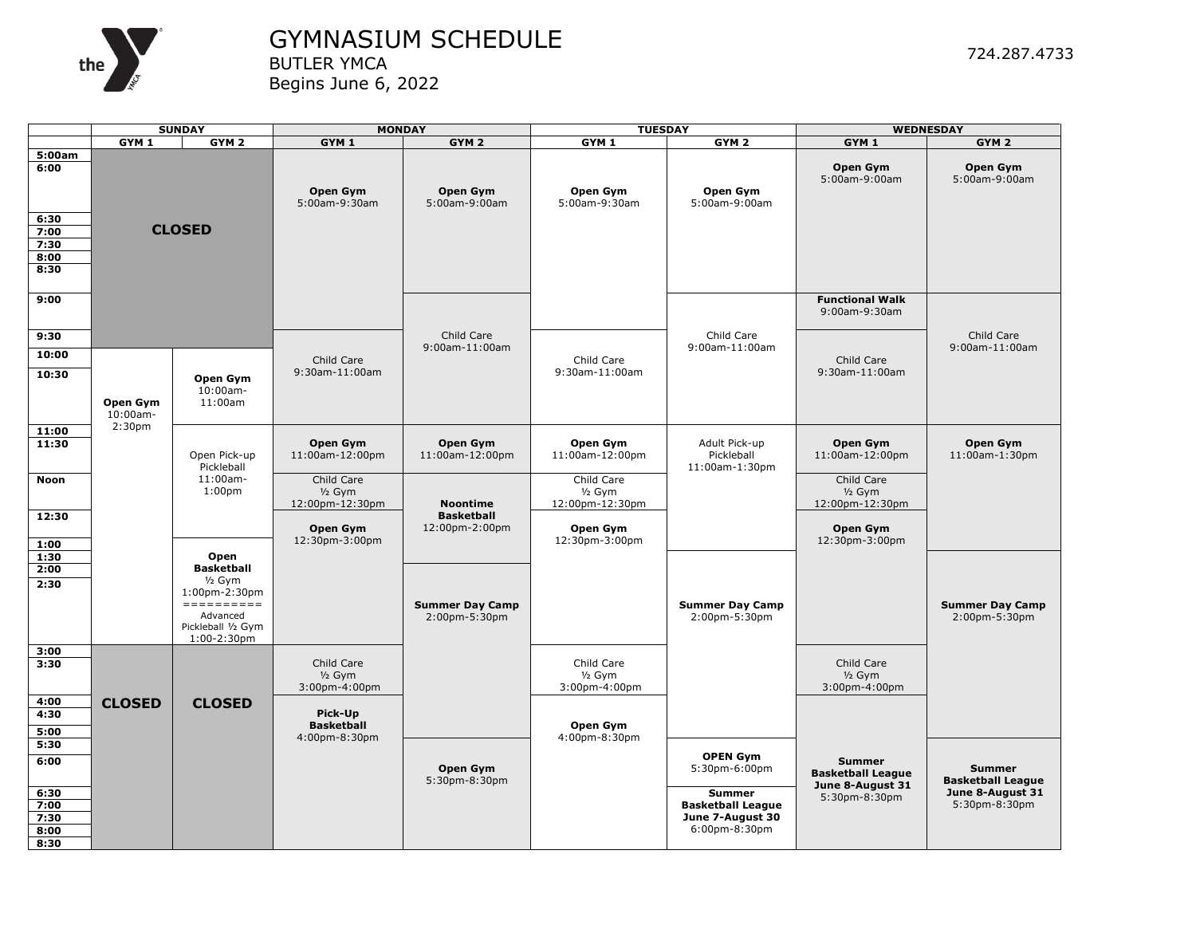

## GYMNASIUM SCHEDULE BUTLER YMCA

Begins June 6, 2022

|                                                        | <b>SUNDAY</b>           |                                                         | <b>MONDAY</b>                                          |                                                        | <b>TUESDAY</b>                                         |                                                                                | <b>WEDNESDAY</b>                                              |                                           |
|--------------------------------------------------------|-------------------------|---------------------------------------------------------|--------------------------------------------------------|--------------------------------------------------------|--------------------------------------------------------|--------------------------------------------------------------------------------|---------------------------------------------------------------|-------------------------------------------|
|                                                        | $GYM$ 1                 | GYM <sub>2</sub>                                        | GYM <sub>1</sub>                                       | GYM <sub>2</sub>                                       | GYM <sub>1</sub>                                       | GYM <sub>2</sub>                                                               | GYM <sub>1</sub>                                              | GYM <sub>2</sub>                          |
| 5:00am<br>6:00<br>6:30<br>7:00<br>7:30<br>8:00<br>8:30 |                         | <b>CLOSED</b>                                           | Open Gym<br>5:00am-9:30am                              | Open Gym<br>5:00am-9:00am                              | Open Gym<br>5:00am-9:30am                              | Open Gym<br>5:00am-9:00am                                                      | Open Gym<br>5:00am-9:00am                                     | Open Gym<br>5:00am-9:00am                 |
| 9:00                                                   |                         |                                                         |                                                        | Child Care                                             |                                                        | Child Care                                                                     | <b>Functional Walk</b><br>9:00am-9:30am                       | Child Care                                |
| 9:30<br>10:00<br>10:30                                 | Open Gym<br>$10:00am -$ | Open Gym<br>10:00am-<br>11:00am                         | Child Care<br>9:30am-11:00am                           | 9:00am-11:00am                                         | Child Care<br>9:30am-11:00am                           | 9:00am-11:00am                                                                 | Child Care<br>9:30am-11:00am                                  | 9:00am-11:00am                            |
| 11:00<br>11:30                                         | 2:30 <sub>pm</sub>      | Open Pick-up<br>Pickleball                              | Open Gym<br>11:00am-12:00pm                            | Open Gym<br>11:00am-12:00pm                            | Open Gym<br>11:00am-12:00pm                            | Adult Pick-up<br>Pickleball<br>11:00am-1:30pm                                  | Open Gym<br>11:00am-12:00pm                                   | Open Gym<br>11:00am-1:30pm                |
| Noon<br>12:30                                          |                         | 11:00am-<br>1:00 <sub>pm</sub>                          | Child Care<br>$1/2$ Gym<br>12:00pm-12:30pm<br>Open Gym | <b>Noontime</b><br><b>Basketball</b><br>12:00pm-2:00pm | Child Care<br>$1/2$ Gym<br>12:00pm-12:30pm<br>Open Gym |                                                                                | Child Care<br>$1/2$ Gym<br>12:00pm-12:30pm<br>Open Gym        |                                           |
| 1:00<br>1:30<br>2:00<br>2:30                           |                         | Open<br><b>Basketball</b><br>$1/2$ Gym<br>1:00pm-2:30pm | 12:30pm-3:00pm                                         |                                                        | 12:30pm-3:00pm                                         |                                                                                | 12:30pm-3:00pm                                                |                                           |
|                                                        |                         | Advanced<br>Pickleball 1/2 Gym<br>$1:00-2:30$ pm        |                                                        | <b>Summer Day Camp</b><br>2:00pm-5:30pm                |                                                        | <b>Summer Day Camp</b><br>2:00pm-5:30pm                                        |                                                               | <b>Summer Day Camp</b><br>2:00pm-5:30pm   |
| 3:00<br>3:30<br>4:00                                   | <b>CLOSED</b>           | <b>CLOSED</b>                                           | Child Care<br>$1/2$ Gym<br>3:00pm-4:00pm               |                                                        | Child Care<br>$1/2$ Gym<br>3:00pm-4:00pm               |                                                                                | Child Care<br>$1/2$ Gym<br>3:00pm-4:00pm                      |                                           |
| 4:30<br>5:00<br>5:30                                   |                         |                                                         | Pick-Up<br><b>Basketball</b><br>4:00pm-8:30pm          |                                                        | Open Gym<br>4:00pm-8:30pm                              |                                                                                |                                                               |                                           |
| 6:00                                                   |                         |                                                         |                                                        | Open Gym<br>5:30pm-8:30pm                              |                                                        | <b>OPEN Gym</b><br>5:30pm-6:00pm                                               | <b>Summer</b><br><b>Basketball League</b><br>June 8-August 31 | <b>Summer</b><br><b>Basketball League</b> |
| 6:30<br>7:00<br>7:30<br>8:00<br>8:30                   |                         |                                                         |                                                        |                                                        |                                                        | <b>Summer</b><br><b>Basketball League</b><br>June 7-August 30<br>6:00pm-8:30pm | 5:30pm-8:30pm                                                 | June 8-August 31<br>5:30pm-8:30pm         |